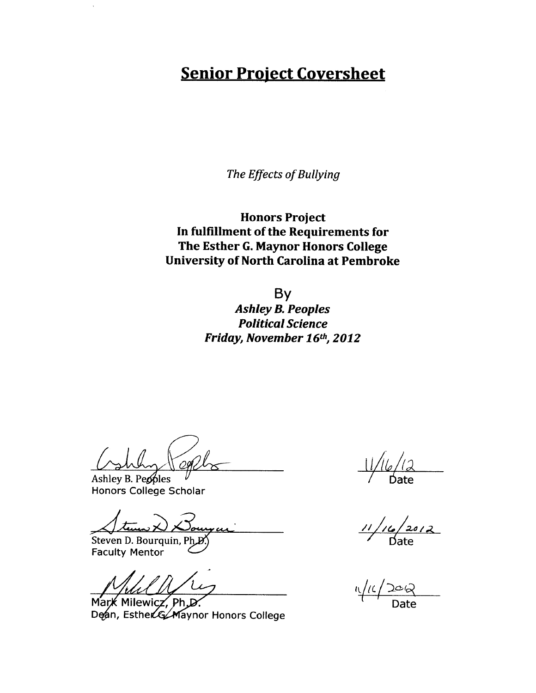## **Senior Project Coversheet**

*The Effects of Bullying*

**Honors Project In fulfillment of the Requirements for The Esther G. Maynor Honors College University of North Carolina at Pembroke**

> By *Ashley B. Peoples Political Science Friday, November 16th, 2012*

 $\mu$  Ashley B. Peoples  $\mu$   $\mu$  Date

Honors College Scholar

Steven D. Bourguin, Ph B)<br>Steven D. Bourquin, Ph B) Date **−** 

Faculty Mentor

Mark Milewicz, Ph.D Dean, EstherG/Maynor Honors College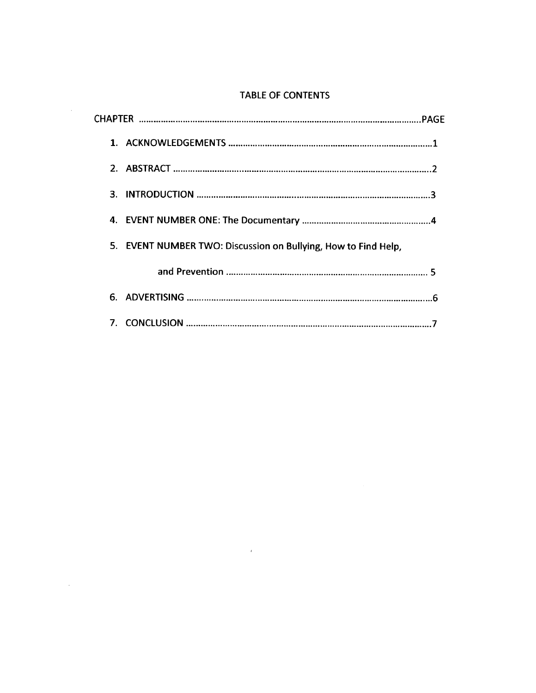### TABLE OF CONTENTS

| 2.                                                             |  |
|----------------------------------------------------------------|--|
|                                                                |  |
|                                                                |  |
| 5. EVENT NUMBER TWO: Discussion on Bullying, How to Find Help, |  |
|                                                                |  |
|                                                                |  |
|                                                                |  |

 $\mathcal{L}^{\text{max}}$  and  $\mathcal{L}^{\text{max}}$ 

 $\sim 10^{-10}$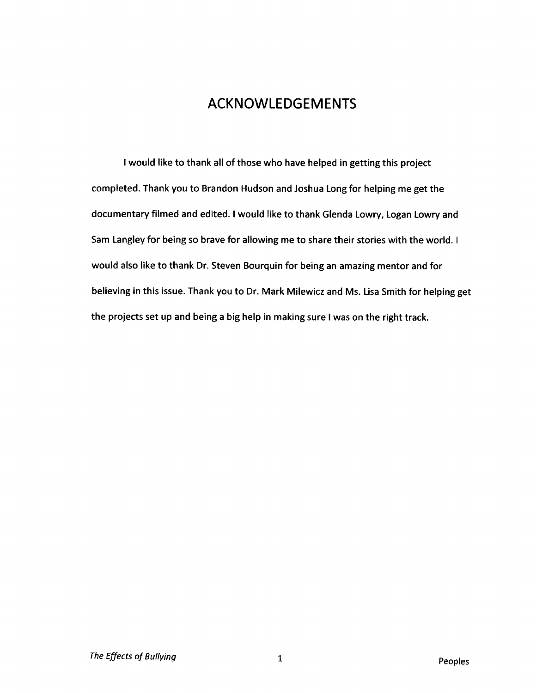## ACKNOWLEDGEMENTS

I would like to thank all of those who have helped in getting this project completed. Thank you to Brandon Hudson and Joshua Long for helping me get the documentary filmed and edited. I would like to thank Glenda Lowry, Logan Lowry and Sam Langley for being so brave for allowing me to share their stories with the world. I would also like to thank Dr. Steven Bourquin for being an amazing mentor and for believing in this issue. Thank you to Dr. Mark Milewicz and Ms. Lisa Smith for helping get the projects set up and being a big help in making sure I was on the right track.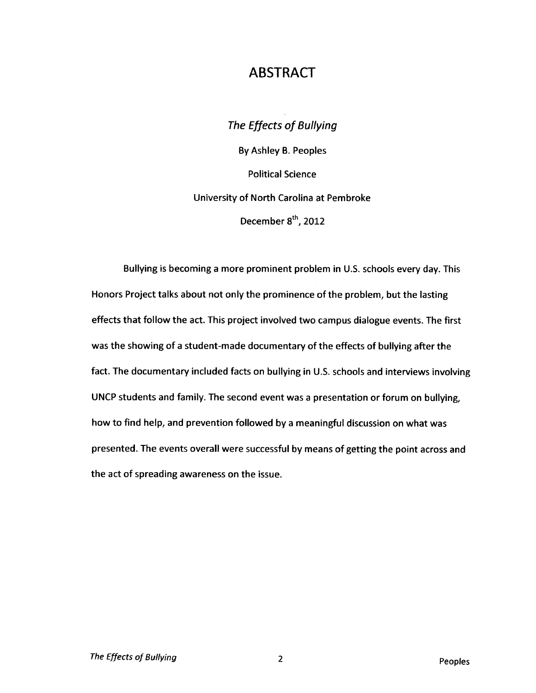### ABSTRACT

The Effects of Bullying By Ashley B. Peoples Political Science University of North Carolina at Pembroke December 8<sup>th</sup>, 2012

Bullying is becoming a more prominent problem in U.S. schools every day. This Honors Project talks about not only the prominence of the problem, but the lasting effects that follow the act. This project involved two campus dialogue events. The first was the showing of a student-made documentary of the effects of bullying after the fact. The documentary included facts on bullying in U.S. schools and interviews involving UNCP students and family. The second event was a presentation or forum on bullying, how to find help, and prevention followed by a meaningful discussion on what was presented. The events overall were successful by means of getting the point across and the act of spreading awareness on the issue.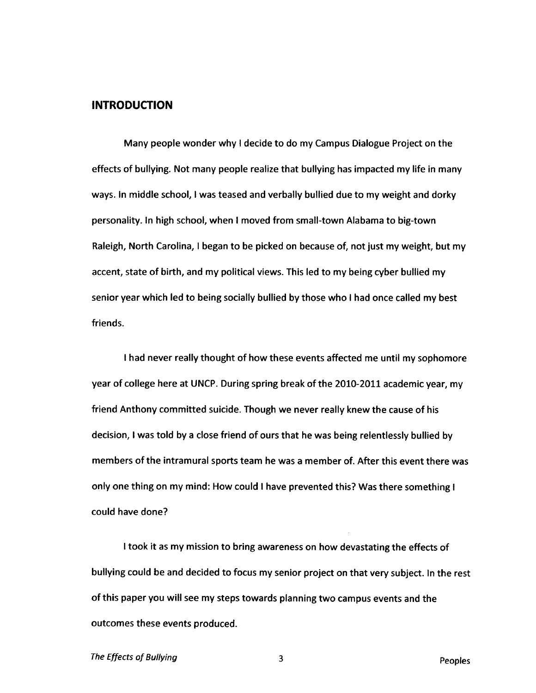### **INTRODUCTION**

Many people wonder why I decide to do my Campus Dialogue Project on the effects of bullying. Not many people realize that bullying has impacted my life in many ways. In middle school, I was teased and verbally bullied due to my weight and dorky personality. In high school, when I moved from small-town Alabama to big-town Raleigh, North Carolina, I began to be picked on because of, not just my weight, but my accent, state of birth, and my political views. This led to my being cyber bullied my senior year which led to being socially bullied by those who I had once called my best friends.

I had never really thought of how these events affected me until my sophomore year of college here at UNCP. During spring break of the 2010-2011 academic year, my friend Anthony committed suicide. Though we never really knew the cause of his decision, I was told by a close friend of ours that he was being relentlessly bullied by members of the intramural sports team he was a member of. After this event there was only one thing on my mind: How could I have prevented this? Was there something I could have done?

I took it as my mission to bring awareness on how devastating the effects of bullying could be and decided to focus my senior project on that very subject. In the rest of this paper you will see my steps towards planning two campus events and the outcomes these events produced.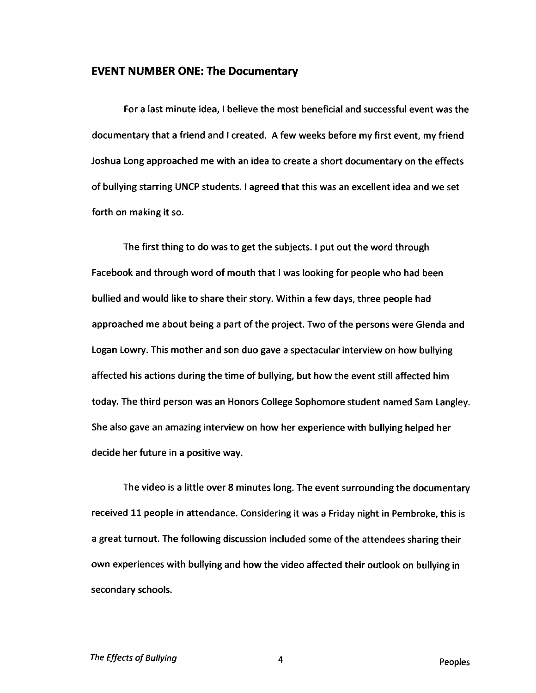#### **EVENT NUMBER ONE: The Documentary**

For a last minute idea, I believe the most beneficial and successful event was the documentary that a friend and I created. A few weeks before my first event, my friend Joshua Long approached me with an idea to create a short documentary on the effects of bullying starring UNCP students. I agreed that this was an excellent idea and we set forth on making it so.

The first thing to do was to get the subjects. I put out the word through Facebook and through word of mouth that I was looking for people who had been bullied and would like to share their story. Within a few days, three people had approached me about being a part of the project. Two of the persons were Glenda and Logan Lowry. This mother and son duo gave a spectacular interview on how bullying affected his actions during the time of bullying, but how the event still affected him today. The third person was an Honors College Sophomore student named Sam Langley. She also gave an amazing interview on how her experience with bullying helped her decide her future in a positive way.

The video is a little over 8 minutes long. The event surrounding the documentary received 11 people in attendance. Considering it was a Friday night in Pembroke, this is a great turnout. The following discussion included some of the attendees sharing their own experiences with bullying and how the video affected their outlook on bullying in secondary schools.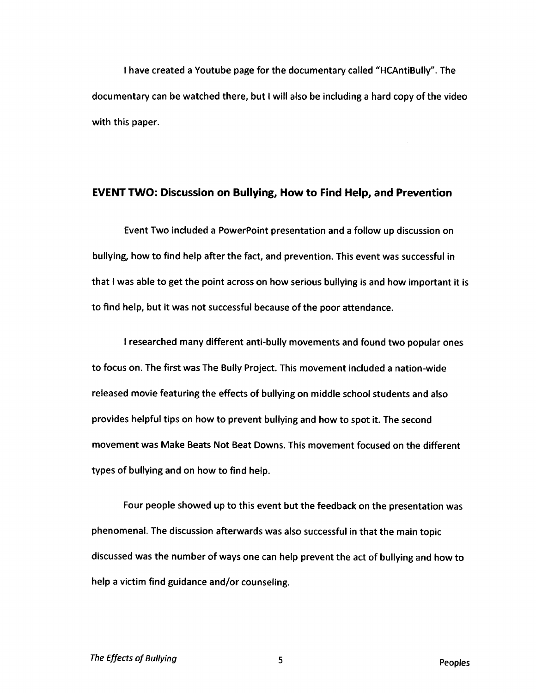I have created a Youtube page for the documentary called "HCAntiBully". The documentary can be watched there, but I will also be including a hard copy of the video with this paper.

#### **EVENT TWO: Discussion on Bullying, How to Find Help, and Prevention**

Event Two included a PowerPoint presentation and a follow up discussion on bullying, how to find help after the fact, and prevention. This event was successful in that I was able to get the point across on how serious bullying is and how important it is to find help, but it was not successful because of the poor attendance.

I researched many different anti-bully movements and found two popular ones to focus on. The first was The Bully Project. This movement included a nation-wide released movie featuring the effects of bullying on middle school students and also provides helpful tips on how to prevent bullying and how to spot it. The second movement was Make Beats Not Beat Downs. This movement focused on the different types of bullying and on how to find help.

Four people showed up to this event but the feedback on the presentation was phenomenal. The discussion afterwards was also successful in that the main topic discussed was the number of ways one can help prevent the act of bullying and how to help a victim find guidance and/or counseling.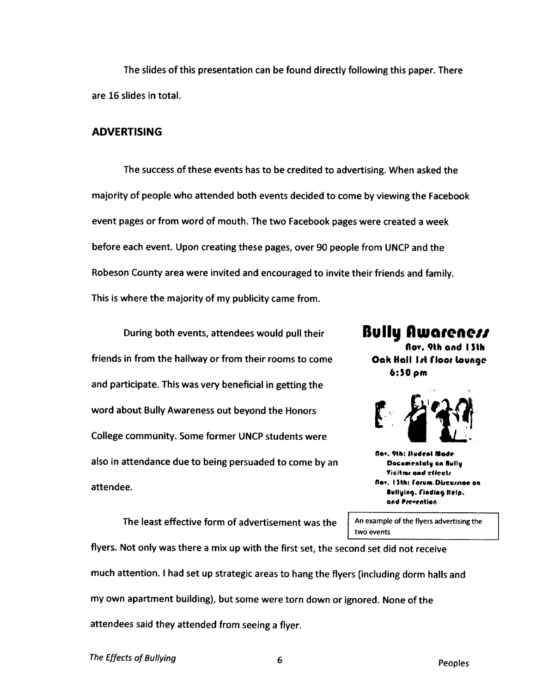The slides of this presentation can be found directly following this paper. There are 16 slides in total.

### **ADVERTISING**

The success of these events has to be credited to advertising. When asked the majority of people who attended both events decided to come by viewing the Facebook event pages or from word of mouth. The two Facebook pages were created a week before each event. Upon creating these pages, over 90 people from UNCP and the Robeson County area were invited and encouraged to invite their friends and family. This is where the majority of my publicity came from.

During both events, attendees would pull their friends in from the hallway or from their rooms to come and participate. This was very beneficial in getting the word about Bully Awareness out beyond the Honors College community. Some former UNCP students were also in attendance due to being persuaded to come by an attendee.

The least effective form of advertisement was the

**Bully fluKirene// flov. «lh ond I Sth Oak Hall 1st floor lounge 6:30 pm**



**Nov. 9th: Student Made Docunentaty en Bully Vicitms and effects flo\*. I IMi: forum, D0eu//ie« on •MllylfK). fladia? Help,** and **Prevention** 

An example of the flyers advertising the two events

flyers. Not only was there a mix up with the first set, the second set did not receive much attention. I had set up strategic areas to hang the flyers (including dorm halls and my own apartment building), but some were torn down or ignored. None of the attendees said they attended from seeing a flyer.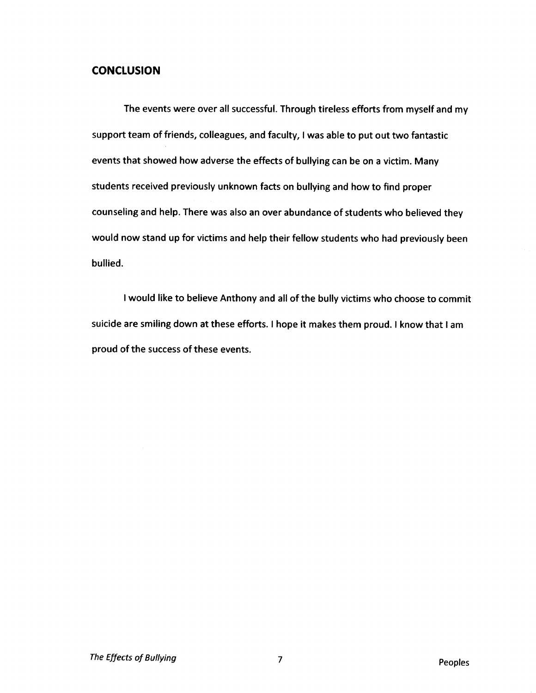### **CONCLUSION**

The events were over all successful. Through tireless efforts from myself and my support team of friends, colleagues, and faculty, I was able to put out two fantastic events that showed how adverse the effects of bullying can be on a victim. Many students received previously unknown facts on bullying and how to find proper counseling and help. There was also an over abundance of students who believed they would now stand up for victims and help their fellow students who had previously been bullied.

I would like to believe Anthony and all of the bully victims who choose to commit suicide are smiling down at these efforts. I hope it makes them proud. I know that I am proud of the success of these events.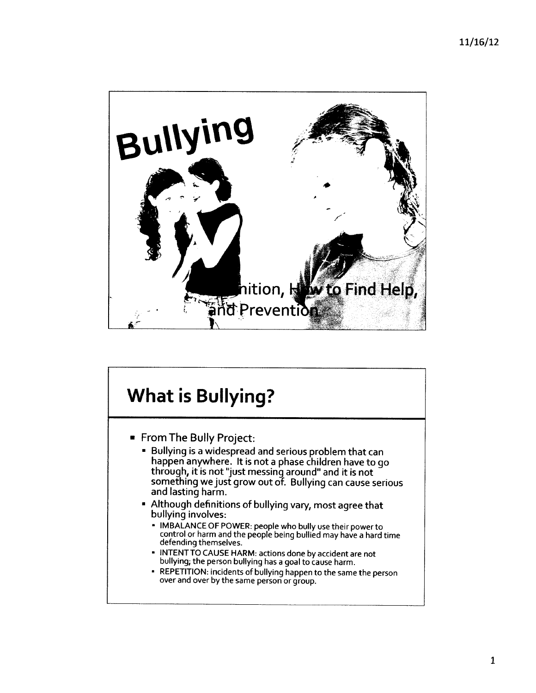

# **What is Bullying?**

- From The Bully Project:
	- Bullying is a widespread and serious problem that can happen anywhere. It is not a phase children have to go through, it is not "just messing around" and it is not something we just grow out of. Bullying can cause serious and lasting harm.
	- Although definitions of bullying vary, most agree that bullying involves:
		- IMBALANCE OF POWER: people who bully use their powerto control or harm and the people being bullied may have a hard time lefending themselves.
		- INTENTTO CAUSE HARM: actions done by accident are not bullying; the person bullying has a goal to cause harm.
		- « REPETITION: incidents of bullying happen to the same the person over and over by the same person or group.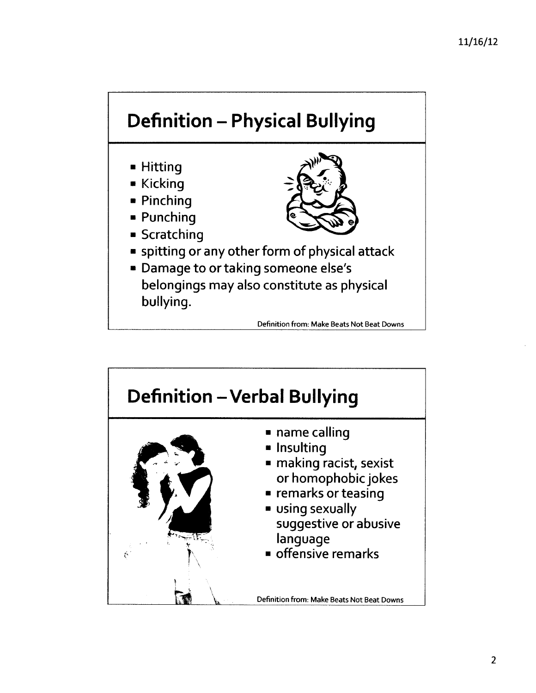# Definition - Physical Bullying



- Kicking
- Pinching
- Punching
- Scratching



- spitting or any other form of physical attack
- Damage to or taking someone else's belongings may also constitute as physical bullying.

Definition from: Make Beats Not Beat Downs

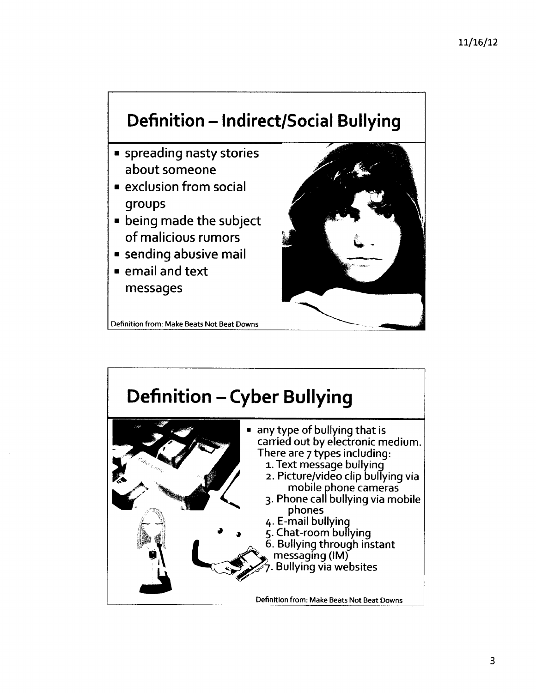# Definition - Indirect/Social Bullying

- spreading nasty stories about someone
- exclusion from social groups
- being made the subject of malicious rumors
- **Example 13 assets**
- email and text messages

Definition from: Make Beats Not Beat Downs



## Definition - Cyber Bullying any type of bullying that is carried out by electronic medium. There are 7 types including: 1. Text message bullying 2. Picture/video clip bullying via mobile phone cameras 3. Phone call bullying via mobile phones 4. E-mail bullying 5. Chat-room bullying 6. Bullying through instant messaging (IM) . Bullying via websites Definition from: Make Beats Not Beat Downs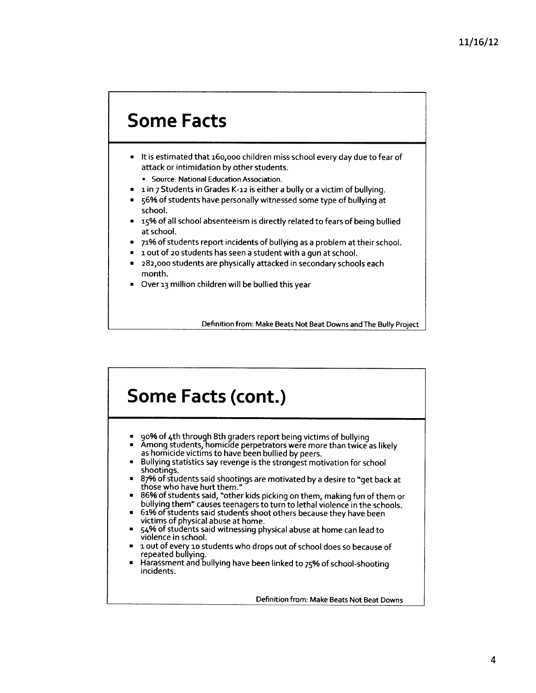# Some Facts

- It is estimated that 160,000 children miss school every day due to fear of attack or intimidation by other students.
	- Source: National Education Association.
- 1 in 7 Students in Grades K-12 is either a bully or a victim of bullying.
- 56% of students have personally witnessed some type of bullying at school.
- 15% of all school absenteeism is directly related to fears of being bullied at school.
- 71% of students report incidents of bullying as a problem at their school.
- a out of 20 students has seen a student with a gun at school.
- 282,000 students are physically attacked in secondary schools each month.
- Over 13 million children will be bullied this year

Definition from: Make Beats Not Beat Downs and The Bully Project

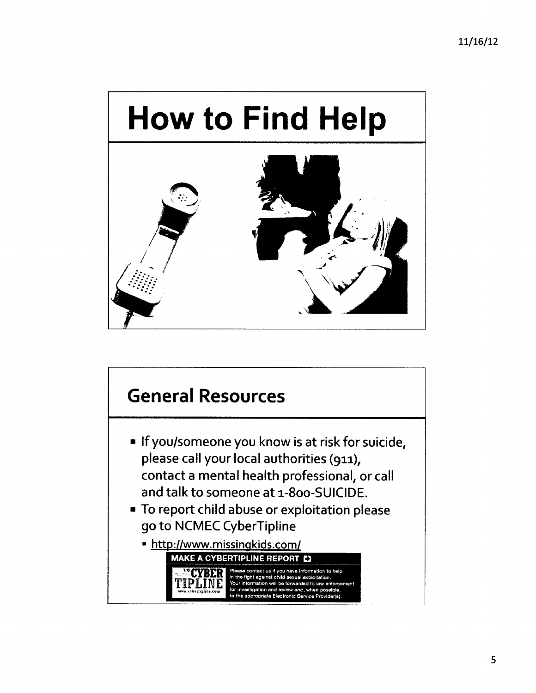

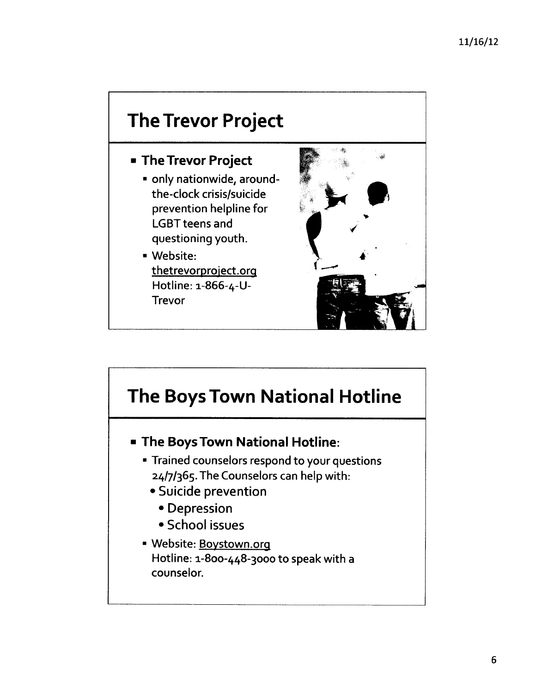# **The Trevor Project**

### **The Trevor Project**

- only nationwide, aroundthe-clock crisis/suicide prevention helpline for LGBT teens and questioning youth.
- Website: thetrevorproject.org Hotline: 1-866-4-1)- Trevor



# **The Boys Town National Hotline**

- **The Boys Town National Hotline:**
	- Trained counselors respond to your questions 24/7/365. The Counselors can help with:
		- Suicide prevention
			- Depression
			- School issues
	- Website: Bovstown.ora Hotline: 1-800-448-3000 to speak with a counselor.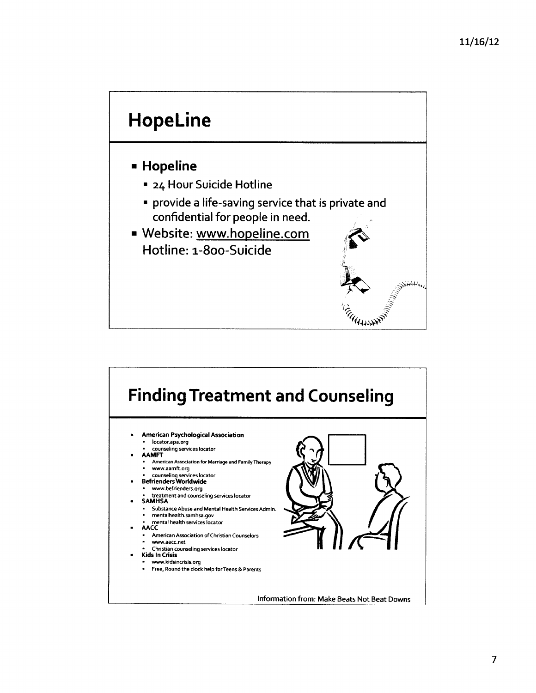